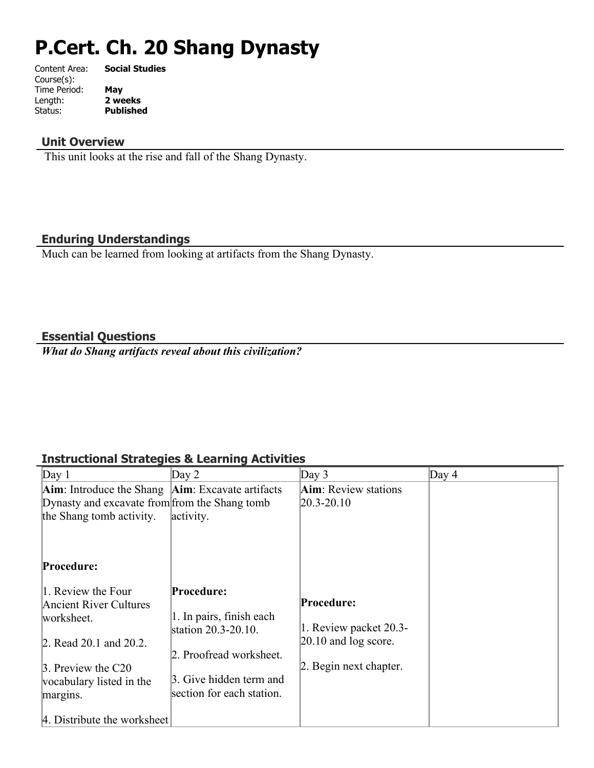# **P.Cert. Ch. 20 Shang Dynasty**

| Content Area: | <b>Social Studies</b> |
|---------------|-----------------------|
| Course(s):    |                       |
| Time Period:  | May                   |
| Length:       | 2 weeks               |
| Status:       | <b>Published</b>      |
|               |                       |

# **Unit Overview**

This unit looks at the rise and fall of the Shang Dynasty.

# **Enduring Understandings**

Much can be learned from looking at artifacts from the Shang Dynasty.

# **Essential Questions**

*What do Shang artifacts reveal about this civilization?*

# **Instructional Strategies & Learning Activities**

| Day 1                                                            | Day $2$                                         | Day $3$                      | Day $4$ |
|------------------------------------------------------------------|-------------------------------------------------|------------------------------|---------|
| <b>Aim</b> : Introduce the Shang <b>Aim</b> : Excavate artifacts |                                                 | <b>Aim</b> : Review stations |         |
| Dynasty and excavate from from the Shang tomb                    |                                                 | $ 20.3 - 20.10 $             |         |
| the Shang tomb activity.                                         | activity.                                       |                              |         |
|                                                                  |                                                 |                              |         |
| Procedure:                                                       |                                                 |                              |         |
| 1. Review the Four                                               | Procedure:                                      |                              |         |
| <b>Ancient River Cultures</b>                                    |                                                 | Procedure:                   |         |
| worksheet.                                                       | 1. In pairs, finish each<br>station 20.3-20.10. | 1. Review packet 20.3-       |         |
| 2. Read 20.1 and 20.2.                                           |                                                 | $[20.10$ and $\log$ score.   |         |
|                                                                  | 2. Proofread worksheet.                         |                              |         |
| 3. Preview the C20                                               |                                                 | 2. Begin next chapter.       |         |
| vocabulary listed in the                                         | 3. Give hidden term and                         |                              |         |
| margins.                                                         | section for each station.                       |                              |         |
| 4. Distribute the worksheet                                      |                                                 |                              |         |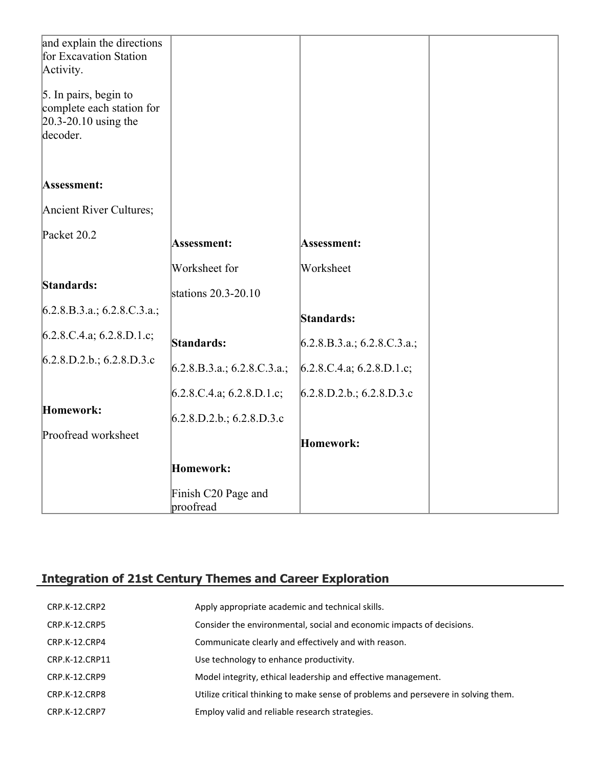| and explain the directions<br>for Excavation Station |                                  |                             |  |
|------------------------------------------------------|----------------------------------|-----------------------------|--|
| Activity.                                            |                                  |                             |  |
| 5. In pairs, begin to<br>complete each station for   |                                  |                             |  |
| $20.3 - 20.10$ using the<br>decoder.                 |                                  |                             |  |
|                                                      |                                  |                             |  |
|                                                      |                                  |                             |  |
| Assessment:                                          |                                  |                             |  |
| Ancient River Cultures;                              |                                  |                             |  |
| Packet 20.2                                          | Assessment:                      | Assessment:                 |  |
|                                                      | Worksheet for                    | Worksheet                   |  |
| Standards:                                           | stations 20.3-20.10              |                             |  |
| 6.2.8.B.3.a.; 6.2.8.C.3.a.;                          |                                  | Standards:                  |  |
| 6.2.8.C.4.a; 6.2.8.D.1.c;                            | Standards:                       | 6.2.8.B.3.a.; 6.2.8.C.3.a.; |  |
| 6.2.8.D.2.b.; 6.2.8.D.3.c                            | 6.2.8.B.3.a.; 6.2.8.C.3.a.;      | 6.2.8.C.4.a; 6.2.8.D.1.c;   |  |
|                                                      | $6.2.8$ .C.4.a; 6.2.8.D.1.c;     | 6.2.8.D.2.b.; 6.2.8.D.3.c   |  |
| Homework:                                            | 6.2.8.D.2.b.; 6.2.8.D.3.c        |                             |  |
| Proofread worksheet                                  |                                  | Homework:                   |  |
|                                                      | Homework:                        |                             |  |
|                                                      | Finish C20 Page and<br>proofread |                             |  |

# **Integration of 21st Century Themes and Career Exploration**

| CRP.K-12.CRP2        | Apply appropriate academic and technical skills.                                   |
|----------------------|------------------------------------------------------------------------------------|
| <b>CRP.K-12.CRP5</b> | Consider the environmental, social and economic impacts of decisions.              |
| CRP.K-12.CRP4        | Communicate clearly and effectively and with reason.                               |
| CRP.K-12.CRP11       | Use technology to enhance productivity.                                            |
| CRP.K-12.CRP9        | Model integrity, ethical leadership and effective management.                      |
| CRP.K-12.CRP8        | Utilize critical thinking to make sense of problems and persevere in solving them. |
| CRP.K-12.CRP7        | Employ valid and reliable research strategies.                                     |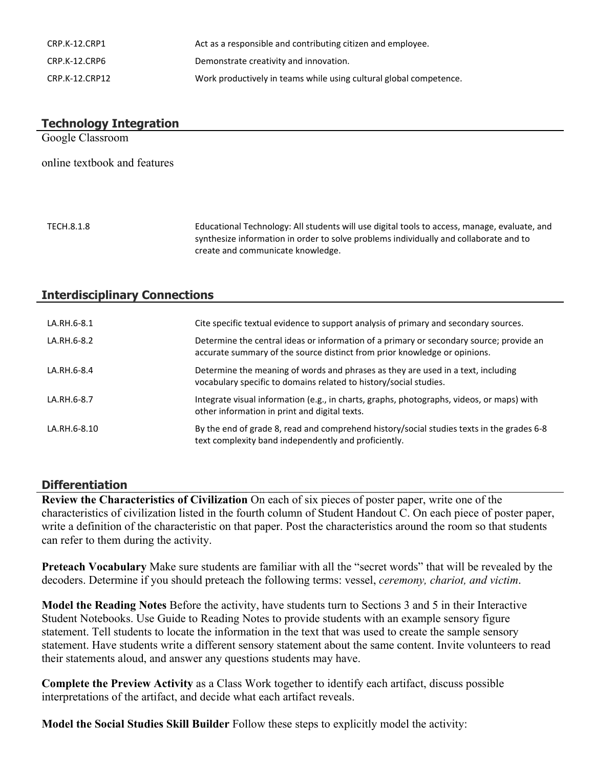| CRP.K-12.CRP1  | Act as a responsible and contributing citizen and employee.        |
|----------------|--------------------------------------------------------------------|
| CRP.K-12.CRP6  | Demonstrate creativity and innovation.                             |
| CRP.K-12.CRP12 | Work productively in teams while using cultural global competence. |

# **Technology Integration** Google Classroom online textbook and features TECH.8.1.8 Educational Technology: All students will use digital tools to access, manage, evaluate, and synthesize information in order to solve problems individually and collaborate and to

create and communicate knowledge.

# **Interdisciplinary Connections**

| LA.RH.6-8.1  | Cite specific textual evidence to support analysis of primary and secondary sources.                                                                                 |
|--------------|----------------------------------------------------------------------------------------------------------------------------------------------------------------------|
| LA.RH.6-8.2  | Determine the central ideas or information of a primary or secondary source; provide an<br>accurate summary of the source distinct from prior knowledge or opinions. |
| LA.RH.6-8.4  | Determine the meaning of words and phrases as they are used in a text, including<br>vocabulary specific to domains related to history/social studies.                |
| LA.RH.6-8.7  | Integrate visual information (e.g., in charts, graphs, photographs, videos, or maps) with<br>other information in print and digital texts.                           |
| LA.RH.6-8.10 | By the end of grade 8, read and comprehend history/social studies texts in the grades 6-8<br>text complexity band independently and proficiently.                    |

#### **Differentiation**

**Review the Characteristics of Civilization** On each of six pieces of poster paper, write one of the characteristics of civilization listed in the fourth column of Student Handout C. On each piece of poster paper, write a definition of the characteristic on that paper. Post the characteristics around the room so that students can refer to them during the activity.

**Preteach Vocabulary** Make sure students are familiar with all the "secret words" that will be revealed by the decoders. Determine if you should preteach the following terms: vessel, *ceremony, chariot, and victim*.

**Model the Reading Notes** Before the activity, have students turn to Sections 3 and 5 in their Interactive Student Notebooks. Use Guide to Reading Notes to provide students with an example sensory figure statement. Tell students to locate the information in the text that was used to create the sample sensory statement. Have students write a different sensory statement about the same content. Invite volunteers to read their statements aloud, and answer any questions students may have.

**Complete the Preview Activity** as a Class Work together to identify each artifact, discuss possible interpretations of the artifact, and decide what each artifact reveals.

**Model the Social Studies Skill Builder** Follow these steps to explicitly model the activity: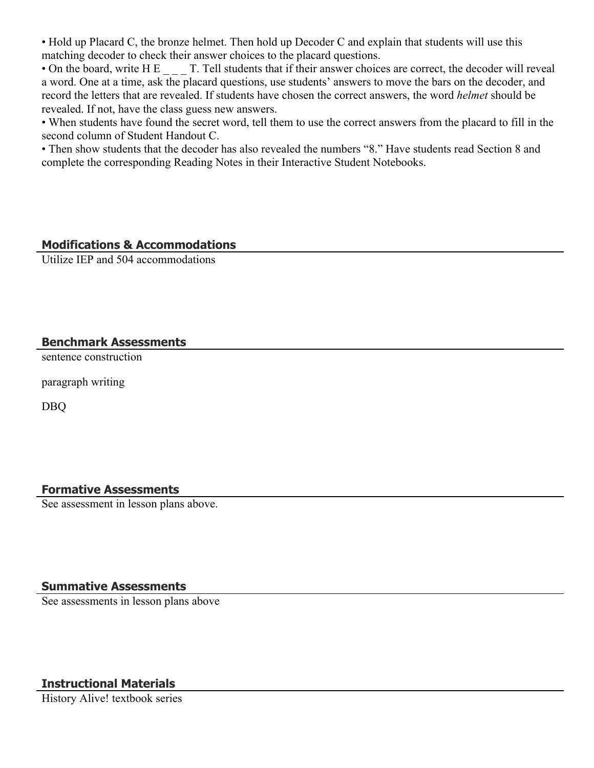• Hold up Placard C, the bronze helmet. Then hold up Decoder C and explain that students will use this matching decoder to check their answer choices to the placard questions.

• On the board, write H E  $\qquad$  T. Tell students that if their answer choices are correct, the decoder will reveal a word. One at a time, ask the placard questions, use students' answers to move the bars on the decoder, and record the letters that are revealed. If students have chosen the correct answers, the word *helmet* should be revealed. If not, have the class guess new answers.

• When students have found the secret word, tell them to use the correct answers from the placard to fill in the second column of Student Handout C.

• Then show students that the decoder has also revealed the numbers "8." Have students read Section 8 and complete the corresponding Reading Notes in their Interactive Student Notebooks.

# **Modifications & Accommodations**

Utilize IEP and 504 accommodations

# **Benchmark Assessments**

sentence construction

paragraph writing

DBQ

# **Formative Assessments**

See assessment in lesson plans above.

# **Summative Assessments**

See assessments in lesson plans above

# **Instructional Materials**

History Alive! textbook series